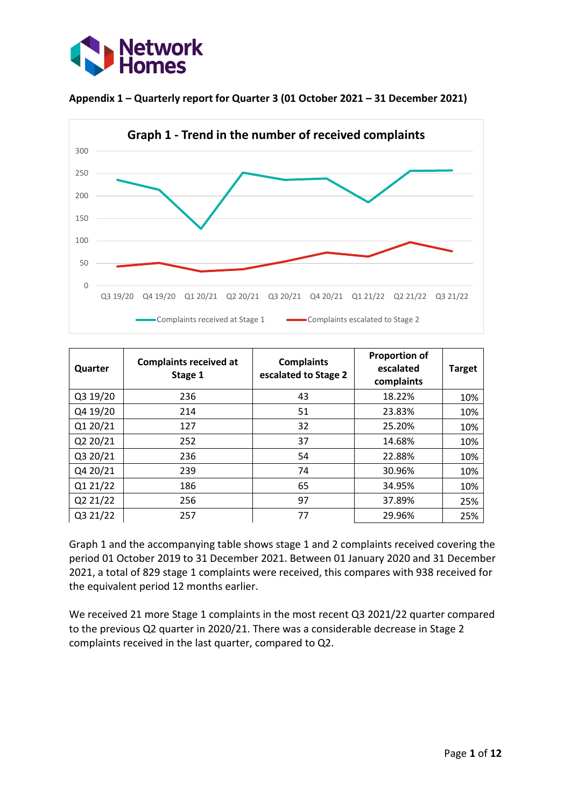





| Quarter  | <b>Complaints received at</b><br>Stage 1 | <b>Complaints</b><br>escalated to Stage 2 | <b>Proportion of</b><br>escalated<br>complaints | <b>Target</b> |
|----------|------------------------------------------|-------------------------------------------|-------------------------------------------------|---------------|
| Q3 19/20 | 236                                      | 43                                        | 18.22%                                          | 10%           |
| Q4 19/20 | 214                                      | 51                                        | 23.83%                                          | 10%           |
| Q1 20/21 | 127                                      | 32                                        | 25.20%                                          | 10%           |
| Q2 20/21 | 252                                      | 37                                        | 14.68%                                          | 10%           |
| Q3 20/21 | 236                                      | 54                                        | 22.88%                                          | 10%           |
| Q4 20/21 | 239                                      | 74                                        | 30.96%                                          | 10%           |
| Q1 21/22 | 186                                      | 65                                        | 34.95%                                          | 10%           |
| Q2 21/22 | 256                                      | 97                                        | 37.89%                                          | 25%           |
| Q3 21/22 | 257                                      | 77                                        | 29.96%                                          | 25%           |

Graph 1 and the accompanying table shows stage 1 and 2 complaints received covering the period 01 October 2019 to 31 December 2021. Between 01 January 2020 and 31 December 2021, a total of 829 stage 1 complaints were received, this compares with 938 received for the equivalent period 12 months earlier.

We received 21 more Stage 1 complaints in the most recent Q3 2021/22 quarter compared to the previous Q2 quarter in 2020/21. There was a considerable decrease in Stage 2 complaints received in the last quarter, compared to Q2.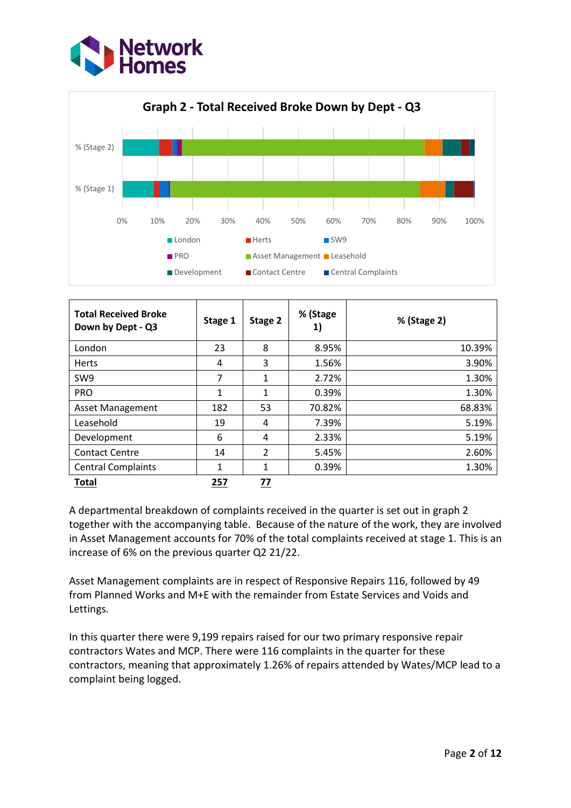



| <b>Total Received Broke</b><br>Down by Dept - Q3 | Stage 1 | Stage 2       | % (Stage<br>1) | % (Stage 2) |
|--------------------------------------------------|---------|---------------|----------------|-------------|
| London                                           | 23      | 8             | 8.95%          | 10.39%      |
| <b>Herts</b>                                     | 4       | 3             | 1.56%          | 3.90%       |
| SW9                                              | 7       | $\mathbf{1}$  | 2.72%          | 1.30%       |
| <b>PRO</b>                                       | 1       | $\mathbf{1}$  | 0.39%          | 1.30%       |
| <b>Asset Management</b>                          | 182     | 53            | 70.82%         | 68.83%      |
| Leasehold                                        | 19      | 4             | 7.39%          | 5.19%       |
| Development                                      | 6       | 4             | 2.33%          | 5.19%       |
| <b>Contact Centre</b>                            | 14      | $\mathcal{P}$ | 5.45%          | 2.60%       |
| <b>Central Complaints</b>                        | 1       | $\mathbf{1}$  | 0.39%          | 1.30%       |
| Total                                            | 257     | <u>77</u>     |                |             |

A departmental breakdown of complaints received in the quarter is set out in graph 2 together with the accompanying table. Because of the nature of the work, they are involved in Asset Management accounts for 70% of the total complaints received at stage 1. This is an increase of 6% on the previous quarter Q2 21/22.

Asset Management complaints are in respect of Responsive Repairs 116, followed by 49 from Planned Works and M+E with the remainder from Estate Services and Voids and Lettings.

In this quarter there were 9,199 repairs raised for our two primary responsive repair contractors Wates and MCP. There were 116 complaints in the quarter for these contractors, meaning that approximately 1.26% of repairs attended by Wates/MCP lead to a complaint being logged.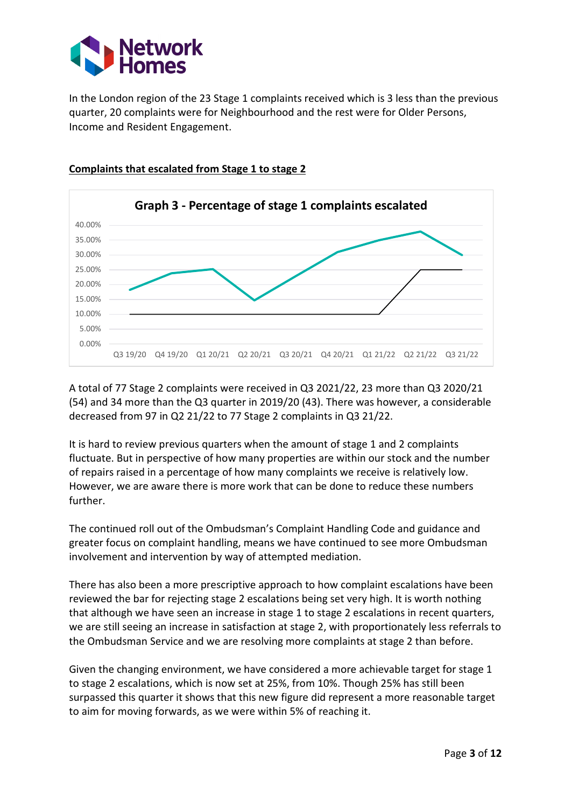

In the London region of the 23 Stage 1 complaints received which is 3 less than the previous quarter, 20 complaints were for Neighbourhood and the rest were for Older Persons, Income and Resident Engagement.



### **Complaints that escalated from Stage 1 to stage 2**

A total of 77 Stage 2 complaints were received in Q3 2021/22, 23 more than Q3 2020/21 (54) and 34 more than the Q3 quarter in 2019/20 (43). There was however, a considerable decreased from 97 in Q2 21/22 to 77 Stage 2 complaints in Q3 21/22.

It is hard to review previous quarters when the amount of stage 1 and 2 complaints fluctuate. But in perspective of how many properties are within our stock and the number of repairs raised in a percentage of how many complaints we receive is relatively low. However, we are aware there is more work that can be done to reduce these numbers further.

The continued roll out of the Ombudsman's Complaint Handling Code and guidance and greater focus on complaint handling, means we have continued to see more Ombudsman involvement and intervention by way of attempted mediation.

There has also been a more prescriptive approach to how complaint escalations have been reviewed the bar for rejecting stage 2 escalations being set very high. It is worth nothing that although we have seen an increase in stage 1 to stage 2 escalations in recent quarters, we are still seeing an increase in satisfaction at stage 2, with proportionately less referrals to the Ombudsman Service and we are resolving more complaints at stage 2 than before.

Given the changing environment, we have considered a more achievable target for stage 1 to stage 2 escalations, which is now set at 25%, from 10%. Though 25% has still been surpassed this quarter it shows that this new figure did represent a more reasonable target to aim for moving forwards, as we were within 5% of reaching it.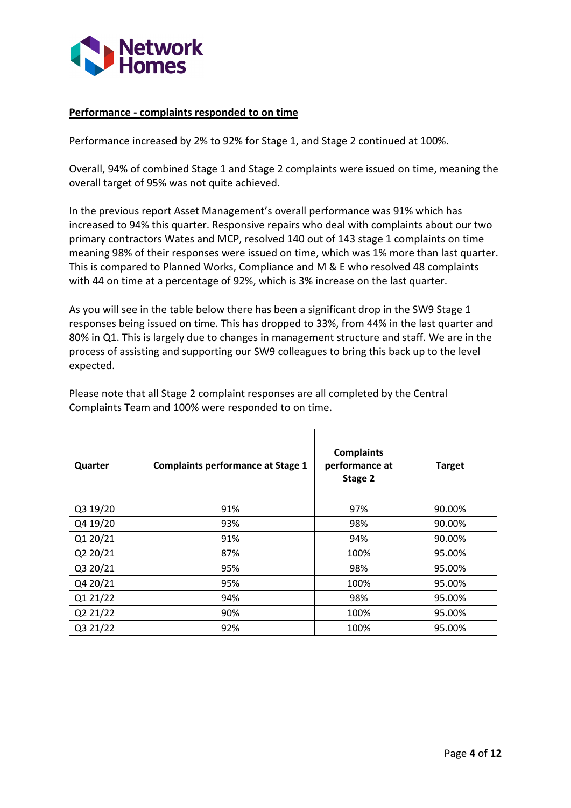

### **Performance - complaints responded to on time**

Performance increased by 2% to 92% for Stage 1, and Stage 2 continued at 100%.

Overall, 94% of combined Stage 1 and Stage 2 complaints were issued on time, meaning the overall target of 95% was not quite achieved.

In the previous report Asset Management's overall performance was 91% which has increased to 94% this quarter. Responsive repairs who deal with complaints about our two primary contractors Wates and MCP, resolved 140 out of 143 stage 1 complaints on time meaning 98% of their responses were issued on time, which was 1% more than last quarter. This is compared to Planned Works, Compliance and M & E who resolved 48 complaints with 44 on time at a percentage of 92%, which is 3% increase on the last quarter.

As you will see in the table below there has been a significant drop in the SW9 Stage 1 responses being issued on time. This has dropped to 33%, from 44% in the last quarter and 80% in Q1. This is largely due to changes in management structure and staff. We are in the process of assisting and supporting our SW9 colleagues to bring this back up to the level expected.

| Quarter  | <b>Complaints performance at Stage 1</b> | <b>Complaints</b><br>performance at<br>Stage 2 | <b>Target</b> |
|----------|------------------------------------------|------------------------------------------------|---------------|
| Q3 19/20 | 91%                                      | 97%                                            | 90.00%        |
| Q4 19/20 | 93%                                      | 98%                                            | 90.00%        |
| Q1 20/21 | 91%                                      | 94%                                            | 90.00%        |
| Q2 20/21 | 87%                                      | 100%                                           | 95.00%        |
| Q3 20/21 | 95%                                      | 98%                                            | 95.00%        |
| Q4 20/21 | 95%                                      | 100%                                           | 95.00%        |
| Q1 21/22 | 94%                                      | 98%                                            | 95.00%        |
| Q2 21/22 | 90%                                      | 100%                                           | 95.00%        |
| Q3 21/22 | 92%                                      | 100%                                           | 95.00%        |

Please note that all Stage 2 complaint responses are all completed by the Central Complaints Team and 100% were responded to on time.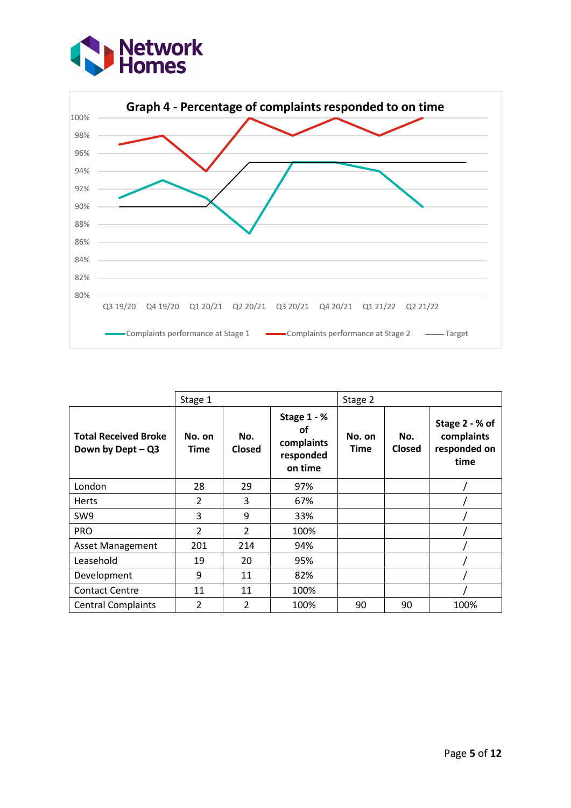



|                                                  | Stage 1                  |                |                                                         | Stage 2        |               |                                                      |
|--------------------------------------------------|--------------------------|----------------|---------------------------------------------------------|----------------|---------------|------------------------------------------------------|
| <b>Total Received Broke</b><br>Down by Dept - Q3 | No. on<br><b>Time</b>    | No.<br>Closed  | Stage 1 - %<br>οf<br>complaints<br>responded<br>on time | No. on<br>Time | No.<br>Closed | Stage 2 - % of<br>complaints<br>responded on<br>time |
| London                                           | 28                       | 29             | 97%                                                     |                |               |                                                      |
| <b>Herts</b>                                     | $\overline{2}$           | 3              | 67%                                                     |                |               |                                                      |
| SW <sub>9</sub>                                  | 3                        | 9              | 33%                                                     |                |               |                                                      |
| <b>PRO</b>                                       | $\overline{\phantom{a}}$ | $\mathcal{P}$  | 100%                                                    |                |               |                                                      |
| <b>Asset Management</b>                          | 201                      | 214            | 94%                                                     |                |               |                                                      |
| Leasehold                                        | 19                       | 20             | 95%                                                     |                |               |                                                      |
| Development                                      | 9                        | 11             | 82%                                                     |                |               |                                                      |
| <b>Contact Centre</b>                            | 11                       | 11             | 100%                                                    |                |               |                                                      |
| <b>Central Complaints</b>                        | $\overline{2}$           | $\overline{2}$ | 100%                                                    | 90             | 90            | 100%                                                 |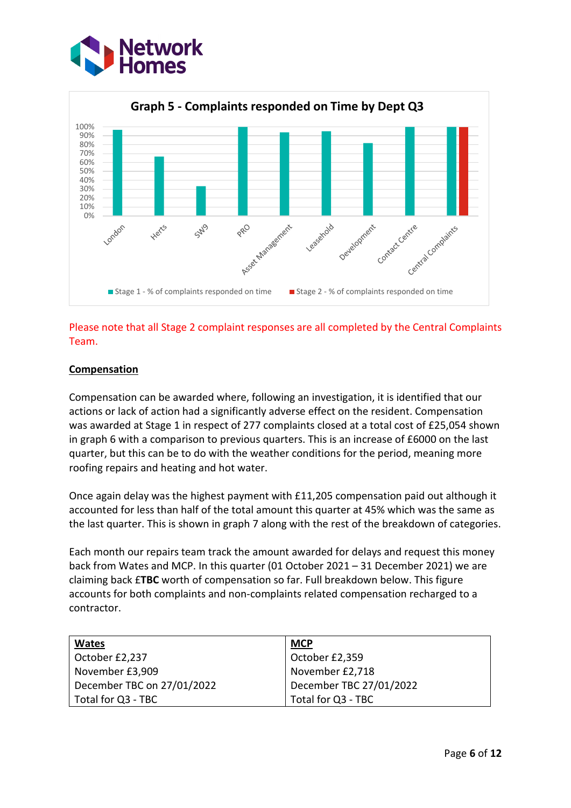



# Please note that all Stage 2 complaint responses are all completed by the Central Complaints Team.

# **Compensation**

Compensation can be awarded where, following an investigation, it is identified that our actions or lack of action had a significantly adverse effect on the resident. Compensation was awarded at Stage 1 in respect of 277 complaints closed at a total cost of £25,054 shown in graph 6 with a comparison to previous quarters. This is an increase of £6000 on the last quarter, but this can be to do with the weather conditions for the period, meaning more roofing repairs and heating and hot water.

Once again delay was the highest payment with £11,205 compensation paid out although it accounted for less than half of the total amount this quarter at 45% which was the same as the last quarter. This is shown in graph 7 along with the rest of the breakdown of categories.

Each month our repairs team track the amount awarded for delays and request this money back from Wates and MCP. In this quarter (01 October 2021 – 31 December 2021) we are claiming back £**TBC** worth of compensation so far. Full breakdown below. This figure accounts for both complaints and non-complaints related compensation recharged to a contractor.

| <b>Wates</b>               | <b>MCP</b>              |
|----------------------------|-------------------------|
| October £2,237             | October £2,359          |
| November £3,909            | November £2,718         |
| December TBC on 27/01/2022 | December TBC 27/01/2022 |
| Total for Q3 - TBC         | Total for Q3 - TBC      |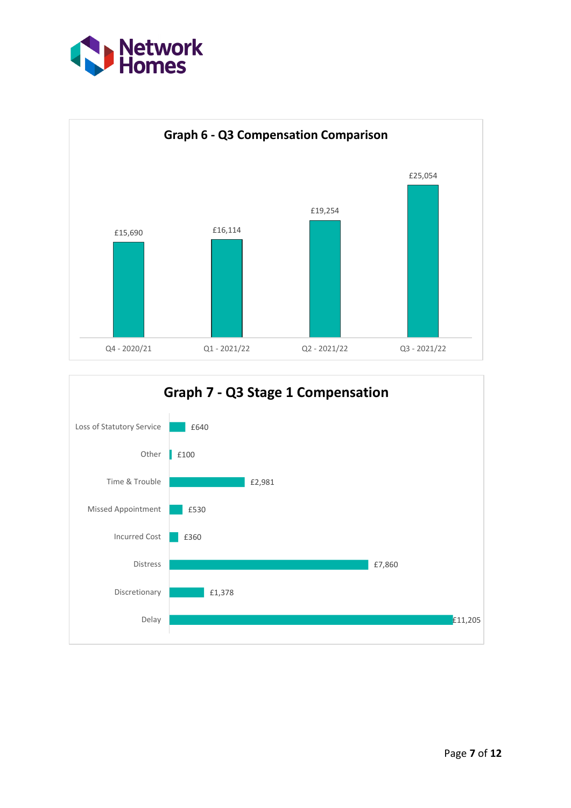



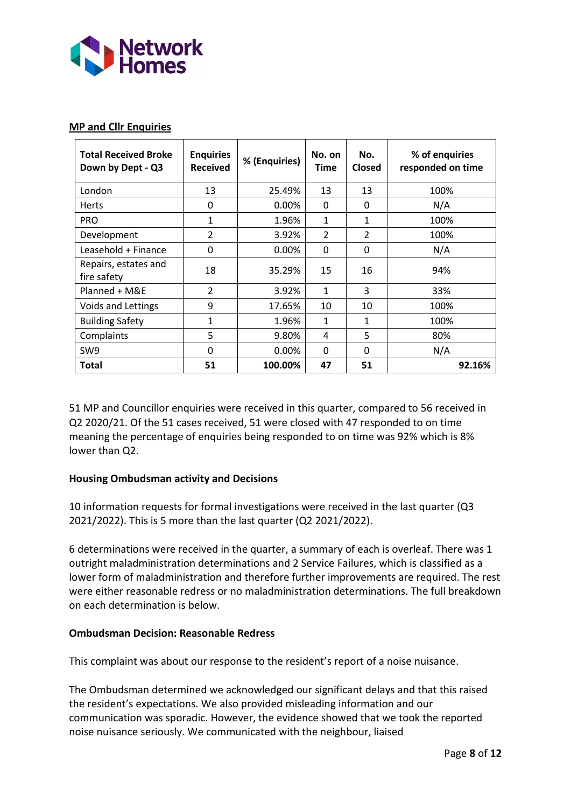

### **MP and Cllr Enquiries**

| <b>Total Received Broke</b><br>Down by Dept - Q3 | <b>Enquiries</b><br><b>Received</b> | % (Enquiries) | No. on<br><b>Time</b> | No.<br>Closed  | % of enquiries<br>responded on time |
|--------------------------------------------------|-------------------------------------|---------------|-----------------------|----------------|-------------------------------------|
| London                                           | 13                                  | 25.49%        | 13                    | 13             | 100%                                |
| <b>Herts</b>                                     | 0                                   | $0.00\%$      | 0                     | $\Omega$       | N/A                                 |
| <b>PRO</b>                                       | 1                                   | 1.96%         | 1                     | 1              | 100%                                |
| Development                                      | $\overline{2}$                      | 3.92%         | $\overline{2}$        | $\overline{2}$ | 100%                                |
| Leasehold + Finance                              | 0                                   | $0.00\%$      | 0                     | 0              | N/A                                 |
| Repairs, estates and<br>fire safety              | 18                                  | 35.29%        | 15                    | 16             | 94%                                 |
| Planned + M&E                                    | $\overline{2}$                      | 3.92%         | 1                     | 3              | 33%                                 |
| Voids and Lettings                               | 9                                   | 17.65%        | 10                    | 10             | 100%                                |
| <b>Building Safety</b>                           | 1                                   | 1.96%         | 1                     | 1              | 100%                                |
| Complaints                                       | 5                                   | 9.80%         | 4                     | 5              | 80%                                 |
| SW9                                              | 0                                   | $0.00\%$      | 0                     | 0              | N/A                                 |
| Total                                            | 51                                  | 100.00%       | 47                    | 51             | 92.16%                              |

51 MP and Councillor enquiries were received in this quarter, compared to 56 received in Q2 2020/21. Of the 51 cases received, 51 were closed with 47 responded to on time meaning the percentage of enquiries being responded to on time was 92% which is 8% lower than Q2.

# **Housing Ombudsman activity and Decisions**

10 information requests for formal investigations were received in the last quarter (Q3 2021/2022). This is 5 more than the last quarter (Q2 2021/2022).

6 determinations were received in the quarter, a summary of each is overleaf. There was 1 outright maladministration determinations and 2 Service Failures, which is classified as a lower form of maladministration and therefore further improvements are required. The rest were either reasonable redress or no maladministration determinations. The full breakdown on each determination is below.

#### **Ombudsman Decision: Reasonable Redress**

This complaint was about our response to the resident's report of a noise nuisance.

The Ombudsman determined we acknowledged our significant delays and that this raised the resident's expectations. We also provided misleading information and our communication was sporadic. However, the evidence showed that we took the reported noise nuisance seriously. We communicated with the neighbour, liaised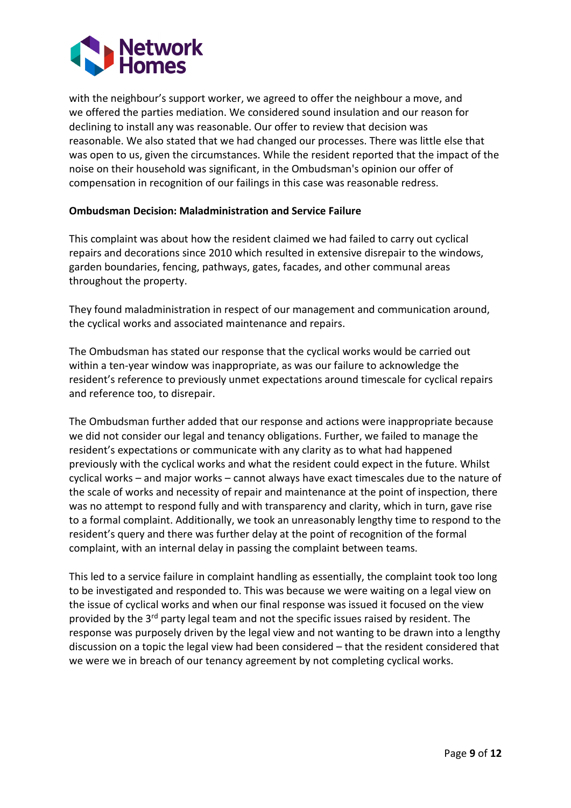

with the neighbour's support worker, we agreed to offer the neighbour a move, and we offered the parties mediation. We considered sound insulation and our reason for declining to install any was reasonable. Our offer to review that decision was reasonable. We also stated that we had changed our processes. There was little else that was open to us, given the circumstances. While the resident reported that the impact of the noise on their household was significant, in the Ombudsman's opinion our offer of compensation in recognition of our failings in this case was reasonable redress.

#### **Ombudsman Decision: Maladministration and Service Failure**

This complaint was about how the resident claimed we had failed to carry out cyclical repairs and decorations since 2010 which resulted in extensive disrepair to the windows, garden boundaries, fencing, pathways, gates, facades, and other communal areas throughout the property.

They found maladministration in respect of our management and communication around, the cyclical works and associated maintenance and repairs.

The Ombudsman has stated our response that the cyclical works would be carried out within a ten-year window was inappropriate, as was our failure to acknowledge the resident's reference to previously unmet expectations around timescale for cyclical repairs and reference too, to disrepair.

The Ombudsman further added that our response and actions were inappropriate because we did not consider our legal and tenancy obligations. Further, we failed to manage the resident's expectations or communicate with any clarity as to what had happened previously with the cyclical works and what the resident could expect in the future. Whilst cyclical works – and major works – cannot always have exact timescales due to the nature of the scale of works and necessity of repair and maintenance at the point of inspection, there was no attempt to respond fully and with transparency and clarity, which in turn, gave rise to a formal complaint. Additionally, we took an unreasonably lengthy time to respond to the resident's query and there was further delay at the point of recognition of the formal complaint, with an internal delay in passing the complaint between teams.

This led to a service failure in complaint handling as essentially, the complaint took too long to be investigated and responded to. This was because we were waiting on a legal view on the issue of cyclical works and when our final response was issued it focused on the view provided by the 3<sup>rd</sup> party legal team and not the specific issues raised by resident. The response was purposely driven by the legal view and not wanting to be drawn into a lengthy discussion on a topic the legal view had been considered – that the resident considered that we were we in breach of our tenancy agreement by not completing cyclical works.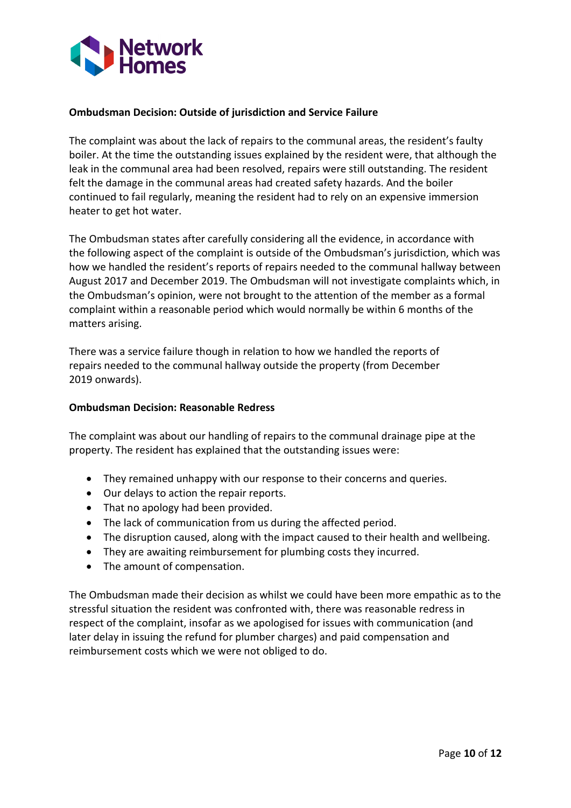

#### **Ombudsman Decision: Outside of jurisdiction and Service Failure**

The complaint was about the lack of repairs to the communal areas, the resident's faulty boiler. At the time the outstanding issues explained by the resident were, that although the leak in the communal area had been resolved, repairs were still outstanding. The resident felt the damage in the communal areas had created safety hazards. And the boiler continued to fail regularly, meaning the resident had to rely on an expensive immersion heater to get hot water.

The Ombudsman states after carefully considering all the evidence, in accordance with the following aspect of the complaint is outside of the Ombudsman's jurisdiction, which was how we handled the resident's reports of repairs needed to the communal hallway between August 2017 and December 2019. The Ombudsman will not investigate complaints which, in the Ombudsman's opinion, were not brought to the attention of the member as a formal complaint within a reasonable period which would normally be within 6 months of the matters arising.

There was a service failure though in relation to how we handled the reports of repairs needed to the communal hallway outside the property (from December 2019 onwards).

#### **Ombudsman Decision: Reasonable Redress**

The complaint was about our handling of repairs to the communal drainage pipe at the property. The resident has explained that the outstanding issues were:

- They remained unhappy with our response to their concerns and queries.
- Our delays to action the repair reports.
- That no apology had been provided.
- The lack of communication from us during the affected period.
- The disruption caused, along with the impact caused to their health and wellbeing.
- They are awaiting reimbursement for plumbing costs they incurred.
- The amount of compensation.

The Ombudsman made their decision as whilst we could have been more empathic as to the stressful situation the resident was confronted with, there was reasonable redress in respect of the complaint, insofar as we apologised for issues with communication (and later delay in issuing the refund for plumber charges) and paid compensation and reimbursement costs which we were not obliged to do.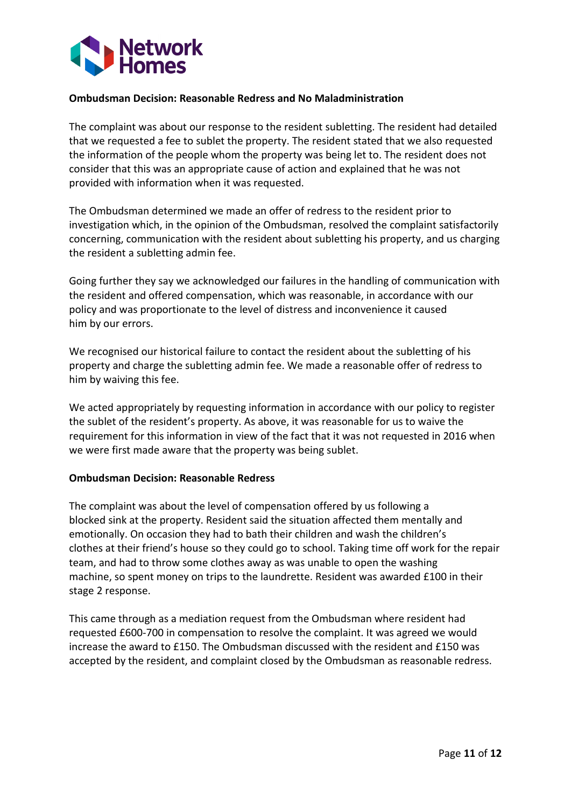

### **Ombudsman Decision: Reasonable Redress and No Maladministration**

The complaint was about our response to the resident subletting. The resident had detailed that we requested a fee to sublet the property. The resident stated that we also requested the information of the people whom the property was being let to. The resident does not consider that this was an appropriate cause of action and explained that he was not provided with information when it was requested.

The Ombudsman determined we made an offer of redress to the resident prior to investigation which, in the opinion of the Ombudsman, resolved the complaint satisfactorily concerning, communication with the resident about subletting his property, and us charging the resident a subletting admin fee.

Going further they say we acknowledged our failures in the handling of communication with the resident and offered compensation, which was reasonable, in accordance with our policy and was proportionate to the level of distress and inconvenience it caused him by our errors.

We recognised our historical failure to contact the resident about the subletting of his property and charge the subletting admin fee. We made a reasonable offer of redress to him by waiving this fee.

We acted appropriately by requesting information in accordance with our policy to register the sublet of the resident's property. As above, it was reasonable for us to waive the requirement for this information in view of the fact that it was not requested in 2016 when we were first made aware that the property was being sublet.

#### **Ombudsman Decision: Reasonable Redress**

The complaint was about the level of compensation offered by us following a blocked sink at the property. Resident said the situation affected them mentally and emotionally. On occasion they had to bath their children and wash the children's clothes at their friend's house so they could go to school. Taking time off work for the repair team, and had to throw some clothes away as was unable to open the washing machine, so spent money on trips to the laundrette. Resident was awarded £100 in their stage 2 response.

This came through as a mediation request from the Ombudsman where resident had requested £600-700 in compensation to resolve the complaint. It was agreed we would increase the award to £150. The Ombudsman discussed with the resident and £150 was accepted by the resident, and complaint closed by the Ombudsman as reasonable redress.